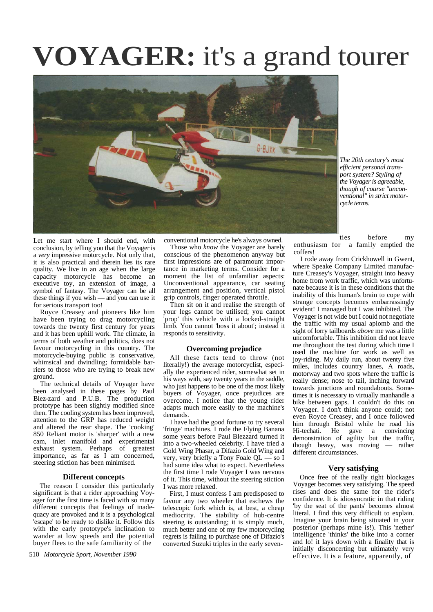# **VOYAGER:** it's a grand tourer



*The 20th century's most efficient personal transport system? Styling of the Voyager is agreeable, though of course "unconventional" in strict motorcycle terms.*

Let me start where I should end, with conclusion, by telling you that the Voyager is a *very* impressive motorcycle. Not only that, it is also practical and therein lies its rare quality. We live in an age when the large capacity motorcycle has become an executive toy, an extension of image, a symbol of fantasy. The Voyager can be all these things if you wish — and you can use it for serious transport too!

Royce Creasey and pioneers like him have been trying to drag motorcycling towards the twenty first century for years and it has been uphill work. The climate, in terms of both weather and politics, does not favour motorcycling in this country. The motorcycle-buying public is conservative, whimsical and dwindling; formidable barriers to those who are trying to break new ground.

The technical details of Voyager have been analysed in these pages by Paul Blez-zard and P.U.B. The production prototype has been slightly modified since then. The cooling system has been improved, attention to the GRP has reduced weight and altered the rear shape. The 'cooking' 850 Reliant motor is 'sharper' with a new cam, inlet manifold and experimental exhaust system. Perhaps of greatest importance, as far as I am concerned, steering stiction has been minimised.

#### **Different concepts**

The reason I consider this particularly significant is that a rider approaching Voyager for the first time is faced with so many different concepts that feelings of inadequacy are provoked and it is a psychological 'escape' to be ready to dislike it. Follow this with the early prototype's inclination to wander at low speeds and the potential buyer flees to the safe familiarity of the

510 *Motorcycle Sport, November 1990*

conventional motorcycle he's always owned.

Those who *know* the Voyager are barely conscious of the phenomenon anyway but first impressions are of paramount importance in marketing terms. Consider for a moment the list of unfamiliar aspects: Unconventional appearance, car seating arrangement and position, vertical pistol grip controls, finger operated throttle.

Then sit on it and realise the strength of your legs cannot be utilised; you cannot 'prop' this vehicle with a locked-straight limb. You cannot 'boss it about'; instead it responds to sensitivity.

#### **Overcoming prejudice**

All these facts tend to throw (not literally!) the average motorcyclist, especially the experienced rider, somewhat set in his ways with, say twenty years in the saddle, who just happens to be one of the most likely buyers of Voyager, once prejudices are overcome. I notice that the young rider adapts much more easily to the machine's demands.

I have had the good fortune to try several 'fringe' machines. I rode the Flying Banana some years before Paul Blezzard turned it into a two-wheeled celebrity. I have tried a Gold Wing Phasar, a Difazio Gold Wing and very, very briefly a Tony Foale QL — so I had some idea what to expect. Nevertheless the first time I rode Voyager I was nervous of it. This time, without the steering stiction I was more relaxed.

First, I must confess I am predisposed to favour any two wheeler that eschews the telescopic fork which is, at best, a cheap mediocrity. The stability of hub-centre steering is outstanding; it is simply much, much better and one of my few motorcycling regrets is failing to purchase one of Difazio's converted Suzuki triples in the early seven-

ties before my<br>enthusiasm for a family emptied the a family emptied the coffers!

I rode away from Crickhowell in Gwent, where Speake Company Limited manufacture Creasey's Voyager, straight into heavy home from work traffic, which was unfortunate because it is in these conditions that the inability of this human's brain to cope with strange concepts becomes embarrassingly evident! I managed but I was inhibited. The Voyager is not wide but I could not negotiate the traffic with my usual aplomb and the sight of lorry tailboards *above* me was a little uncomfortable. This inhibition did not leave me throughout the test during which time I used the machine for work as well as joy-riding. My daily run, about twenty five miles, includes country lanes, A roads, motorway and two spots where the traffic is really dense; nose to tail, inching forward towards junctions and roundabouts. Sometimes it is necessary to virtually manhandle a bike between gaps. I couldn't do this on Voyager. I don't think anyone could; not even Royce Creasey, and I once followed him through Bristol while he road his Hi-techati. He gave a convincing demonstration of agility but the traffic, though heavy, was moving — rather different circumstances.

#### **Very satisfying**

Once free of the really tight blockages Voyager becomes very satisfying. The speed rises and does the same for the rider's confidence. It is idiosyncratic in that riding 'by the seat of the pants' becomes almost literal. I find this very difficult to explain. Imagine your brain being situated in your posterior (perhaps mine is!). This 'nether' intelligence 'thinks' the bike into a corner and lo! it lays down with a finality that is initially disconcerting but ultimately very effective. It is a feature, apparently, of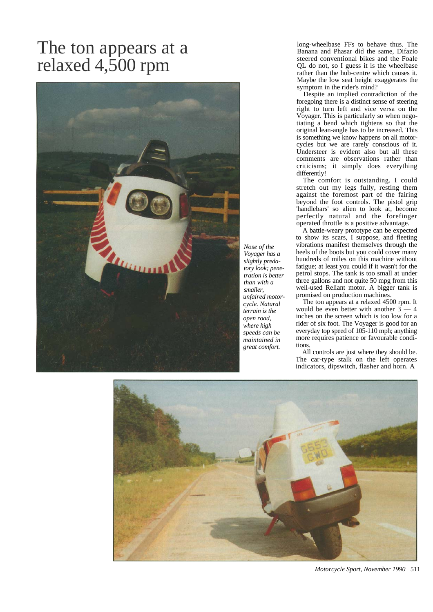## The ton appears at a relaxed 4,500 rpm



long-wheelbase FFs to behave thus. The Banana and Phasar did the same, Difazio steered conventional bikes and the Foale QL do not, so I guess it is the wheelbase rather than the hub-centre which causes it. Maybe the low seat height exaggerates the symptom in the rider's mind?

Despite an implied contradiction of the foregoing there is a distinct sense of steering right to turn left and vice versa on the Voyager. This is particularly so when negotiating a bend which tightens so that the original lean-angle has to be increased. This is something we know happens on all motorcycles but we are rarely conscious of it. Understeer is evident also but all these comments are observations rather than criticisms; it simply does everything differently!

The comfort is outstanding. I could stretch out my legs fully, resting them against the foremost part of the fairing beyond the foot controls. The pistol grip 'handlebars' so alien to look at, become perfectly natural and the forefinger operated throttle is a positive advantage.

A battle-weary prototype can be expected to show its scars, I suppose, and fleeting vibrations manifest themselves through the heels of the boots but you could cover many hundreds of miles on this machine without fatigue; at least you could if it wasn't for the petrol stops. The tank is too small at under three gallons and not quite 50 mpg from this well-used Reliant motor. A bigger tank is promised on production machines.

The ton appears at a relaxed 4500 rpm. It would be even better with another 3 — 4 inches on the screen which is too low for a rider of six foot. The Voyager is good for an everyday top speed of 105-110 mph; anything more requires patience or favourable conditions.

All controls are just where they should be. The car-type stalk on the left operates indicators, dipswitch, flasher and horn. A



*Motorcycle Sport, November 1990* 511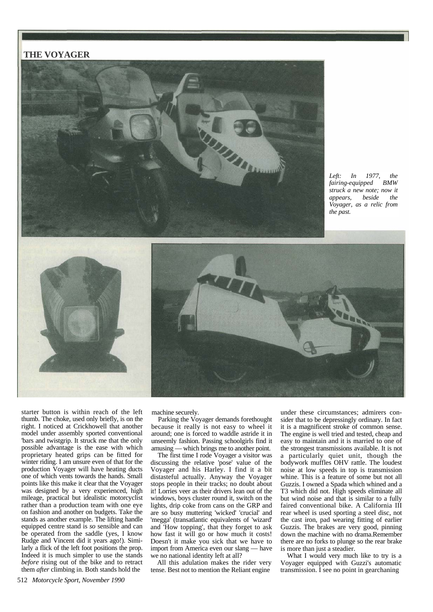### **THE VOYAGER**



*Left: In 1977, the fairing-equipped BMW struck a new note; now it appears, beside the Voyager, as a relic from the past.*



machine securely.

Parking the Voyager demands forethought because it really is not easy to wheel it around; one is forced to waddle astride it in unseemly fashion. Passing schoolgirls find it amusing — which brings me to another point.

The first time I rode Voyager a visitor was discussing the relative 'pose' value of the Voyager and his Harley. I find it a bit distasteful actually. Anyway the Voyager stops people in their tracks; no doubt about it! Lorries veer as their drivers lean out of the windows, boys cluster round it, switch on the lights, drip coke from cans on the GRP and are so busy muttering 'wicked' 'crucial' and 'megga' (transatlantic equivalents of 'wizard' and 'How topping', that they forget to ask how fast it will go or how much it costs! Doesn't it make you sick that we have to import from America even our slang — have we no national identity left at all?

All this adulation makes the rider very tense. Best not to mention the Reliant engine

under these circumstances; admirers consider that to be depressingly ordinary. In fact it is a magnificent stroke of common sense. The engine is well tried and tested, cheap and easy to maintain and it is married to one of the strongest transmissions available. It is not a particularly quiet unit, though the bodywork muffles OHV rattle. The loudest noise at low speeds in top is transmission whine. This is a feature of some but not all Guzzis. I owned a Spada which whined and a T3 which did not. High speeds eliminate all but wind noise and that is similar to a fully faired conventional bike. A California III rear wheel is used sporting a steel disc, not the cast iron, pad wearing fitting of earlier Guzzis. The brakes are very good, pinning down the machine with no drama.Remember there are no forks to plunge so the rear brake is more than just a steadier.

What I would very much like to try is a Voyager equipped with Guzzi's automatic transmission. I see no point in gearchaning